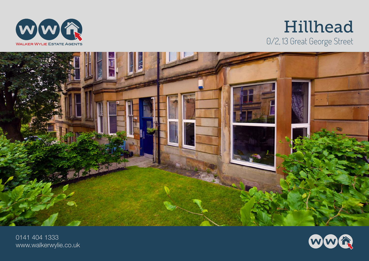

## Hillhead 0/2, 13 Great George Street



0141 404 1333 www.walkerwylie.co.uk

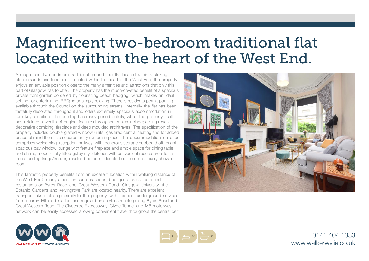## Magnificent two-bedroom traditional flat located within the heart of the West End.

A magnificent two-bedroom traditional ground floor flat located within a striking blonde sandstone tenement. Located within the heart of the West End, the property enjoys an enviable position close to the many amenities and attractions that only this part of Glasgow has to offer. The property has the much-coveted benefit of a spacious private front garden bordered by flourishing beech hedging, which makes an ideal setting for entertaining, BBQing or simply relaxing. There is residents permit parking available through the Council on the surrounding streets. Internally the flat has been tastefully decorated throughout and offers extremely spacious accommodation in turn key condition. The building has many period details, whilst the property itself has retained a wealth of original features throughout which include; ceiling roses, decorative cornicing, fireplace and deep moulded architraves. The specification of the property includes double glazed window units, gas fired central heating and for added peace of mind there is a secured entry system in place. The accommodation on offer comprises welcoming reception hallway with generous storage cupboard off, bright spacious bay window lounge with feature fireplace and ample space for dining table and chairs, modern fully fitted galley style kitchen with convenient recess area for a free-standing fridge/freezer, master bedroom, double bedroom and luxury shower room.

This fantastic property benefits from an excellent location within walking distance of the West End's many amenities such as shops, boutiques, cafes, bars and restaurants on Byres Road and Great Western Road. Glasgow University, the Botanic Gardens and Kelvingrove Park are located nearby. There are excellent transport links in close proximity to the property, with frequent underground services from nearby Hillhead station and regular bus services running along Byres Road and Great Western Road. The Clydeside Expressway, Clyde Tunnel and M8 motorway network can be easily accessed allowing convenient travel throughout the central belt.







0141 404 1333 www.walkerwylie.co.uk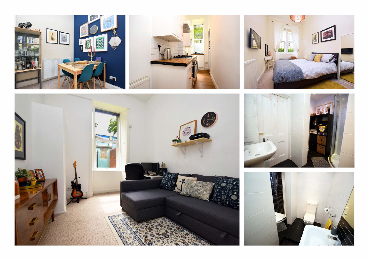